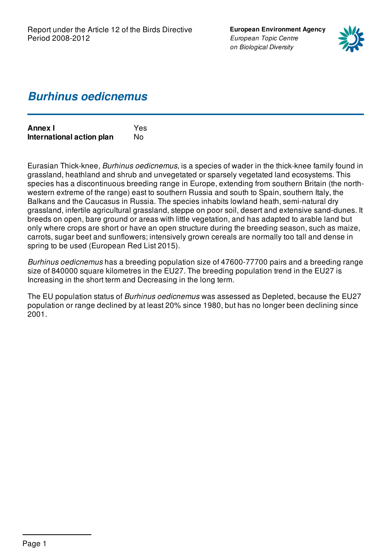**European Environment Agency** *European Topic Centre on Biological Diversity*



### *Burhinus oedicnemus*

| <b>Annex I</b>            | <b>Yes</b> |
|---------------------------|------------|
| International action plan | No.        |

Eurasian Thick-knee, *Burhinus oedicnemus*, is a species of wader in the thick-knee family found in grassland, heathland and shrub and unvegetated or sparsely vegetated land ecosystems. This species has a discontinuous breeding range in Europe, extending from southern Britain (the northwestern extreme of the range) east to southern Russia and south to Spain, southern Italy, the Balkans and the Caucasus in Russia. The species inhabits lowland heath, semi-natural dry grassland, infertile agricultural grassland, steppe on poor soil, desert and extensive sand-dunes. It breeds on open, bare ground or areas with little vegetation, and has adapted to arable land but only where crops are short or have an open structure during the breeding season, such as maize, carrots, sugar beet and sunflowers; intensively grown cereals are normally too tall and dense in spring to be used (European Red List 2015).

*Burhinus oedicnemus* has a breeding population size of 47600-77700 pairs and a breeding range size of 840000 square kilometres in the EU27. The breeding population trend in the EU27 is Increasing in the short term and Decreasing in the long term.

The EU population status of *Burhinus oedicnemus* was assessed as Depleted, because the EU27 population or range declined by at least 20% since 1980, but has no longer been declining since 2001.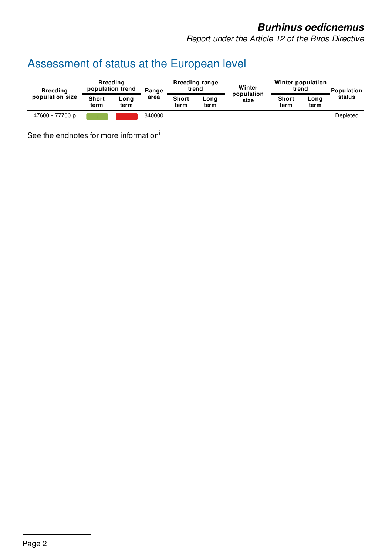*Report under the Article 12 of the Birds Directive*

# Assessment of status at the European level

| <b>Breeding</b><br>population size | <b>Breeding</b><br>population trend |                       | Range  | <b>Breeding range</b><br>trend |              | Winter             | Winter population<br>trend |              | Population |
|------------------------------------|-------------------------------------|-----------------------|--------|--------------------------------|--------------|--------------------|----------------------------|--------------|------------|
|                                    | <b>Short</b><br>term                | $\text{Long}$<br>term | area   | <b>Short</b><br>term           | Long<br>term | population<br>size | <b>Short</b><br>term       | Long<br>term | status     |
| 47600 - 77700 p                    |                                     |                       | 840000 |                                |              |                    |                            |              | Depleted   |

See the endnotes for more information<sup>i</sup>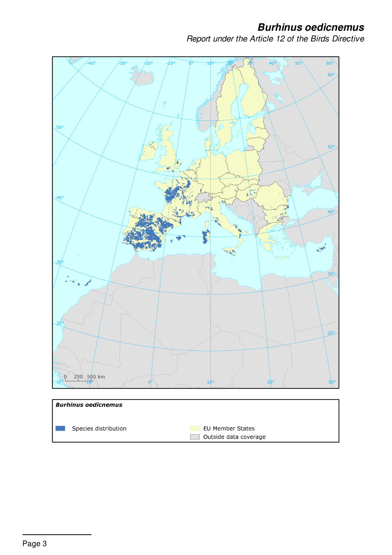*Report under the Article 12 of the Birds Directive*

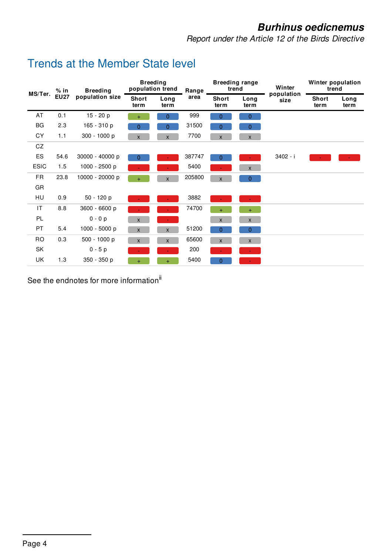*Report under the Article 12 of the Birds Directive*

### Trends at the Member State level

| $%$ in<br>MS/Ter. |             | <b>Breeding</b> | <b>Breeding</b><br>population trend |                    | Range  | <b>Breeding range</b><br>trend |                    | Winter<br>population | Winter population<br>trend |              |
|-------------------|-------------|-----------------|-------------------------------------|--------------------|--------|--------------------------------|--------------------|----------------------|----------------------------|--------------|
|                   | <b>EU27</b> | population size | <b>Short</b><br>term                | Long<br>term       | area   | <b>Short</b><br>term           | Long<br>term       | size                 | <b>Short</b><br>term       | Long<br>term |
| AT                | 0.1         | 15 - 20 p       | $+$                                 | 0                  | 999    | 0                              | $\overline{0}$     |                      |                            |              |
| BG                | 2.3         | 165 - 310 p     | $\Omega$                            | $\Omega$           | 31500  | 0                              | $\Omega$           |                      |                            |              |
| <b>CY</b>         | 1.1         | 300 - 1000 p    | $\mathsf{X}$                        | $\mathsf{x}$       | 7700   | $\mathsf{x}$                   | $\mathsf{x}$       |                      |                            |              |
| CZ                |             |                 |                                     |                    |        |                                |                    |                      |                            |              |
| ES                | 54.6        | 30000 - 40000 p | $\Omega$                            |                    | 387747 | 0                              |                    | 3402 - i             |                            |              |
| <b>ESIC</b>       | 1.5         | 1000 - 2500 p   |                                     |                    | 5400   |                                | $\mathsf{x}$       |                      |                            |              |
| FR.               | 23.8        | 10000 - 20000 p |                                     | $\mathsf{X}$       | 205800 | $\mathsf{X}$                   | $\overline{0}$     |                      |                            |              |
| GR                |             |                 |                                     |                    |        |                                |                    |                      |                            |              |
| HU                | 0.9         | 50 - 120 p      |                                     |                    | 3882   |                                |                    |                      |                            |              |
| ΙT                | 8.8         | 3600 - 6600 p   |                                     |                    | 74700  | ÷.                             | $+$                |                      |                            |              |
| PL.               |             | $0 - 0 p$       | $\mathsf{x}$                        |                    |        | $\mathsf{x}$                   | $\mathsf{x}$       |                      |                            |              |
| PT.               | 5.4         | 1000 - 5000 p   | $\mathsf{x}$                        | $\mathsf{x}$       | 51200  | $\overline{0}$                 | $\overline{0}$     |                      |                            |              |
| RO.               | 0.3         | 500 - 1000 p    | $\pmb{\mathsf{X}}$                  | $\pmb{\mathsf{X}}$ | 65600  | $\pmb{\mathsf{X}}$             | $\pmb{\mathsf{X}}$ |                      |                            |              |
| SK                |             | $0 - 5 p$       |                                     |                    | 200    |                                |                    |                      |                            |              |
| UK                | 1.3         | 350 - 350 p     | $\ddot{}$                           | $+$                | 5400   | 0                              |                    |                      |                            |              |

See the endnotes for more information<sup>ii</sup>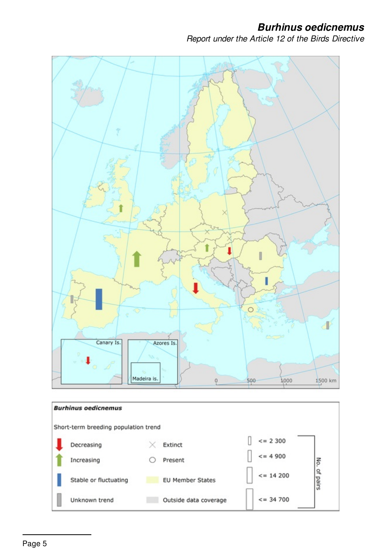*Report under the Article 12 of the Birds Directive*

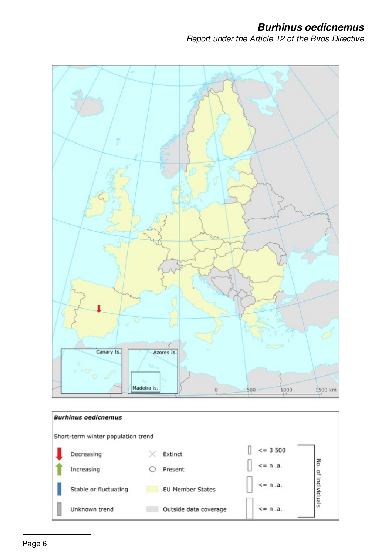#### *Burhinus oedicnemus Report under the Article 12 of the Birds Directive*



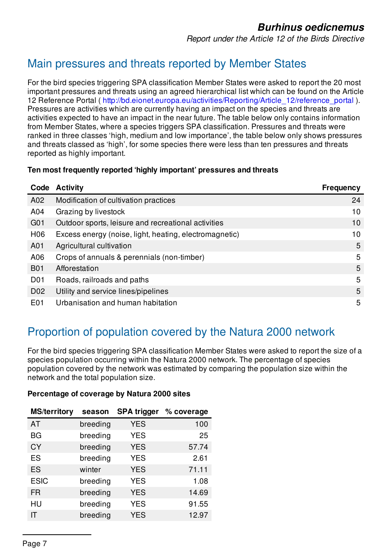*Report under the Article 12 of the Birds Directive*

## Main pressures and threats reported by Member States

For the bird species triggering SPA classification Member States were asked to report the 20 most important pressures and threats using an agreed hierarchical list which can be found on the Article 12 Reference Portal ( [http://bd.eionet.europa.eu/activities/Reporting/Article\\_12/reference\\_portal](http://bd.eionet.europa.eu/activities/Reporting/Article_12/reference_portal) ). Pressures are activities which are currently having an impact on the species and threats are activities expected to have an impact in the near future. The table below only contains information from Member States, where a species triggers SPA classification. Pressures and threats were ranked in three classes 'high, medium and low importance', the table below only shows pressures and threats classed as 'high', for some species there were less than ten pressures and threats reported as highly important.

#### **Ten most frequently reported 'highly important' pressures and threats**

| Code             | <b>Activity</b>                                        | <b>Frequency</b> |
|------------------|--------------------------------------------------------|------------------|
| A02              | Modification of cultivation practices                  | 24               |
| A04              | Grazing by livestock                                   | 10               |
| G <sub>01</sub>  | Outdoor sports, leisure and recreational activities    | 10               |
| H <sub>06</sub>  | Excess energy (noise, light, heating, electromagnetic) | 10               |
| A01              | Agricultural cultivation                               | 5                |
| A06              | Crops of annuals & perennials (non-timber)             | 5                |
| <b>B01</b>       | Afforestation                                          | 5                |
| D <sub>0</sub> 1 | Roads, railroads and paths                             | 5                |
| D <sub>02</sub>  | Utility and service lines/pipelines                    | 5                |
| E <sub>0</sub> 1 | Urbanisation and human habitation                      | 5                |

## Proportion of population covered by the Natura 2000 network

For the bird species triggering SPA classification Member States were asked to report the size of a species population occurring within the Natura 2000 network. The percentage of species population covered by the network was estimated by comparing the population size within the network and the total population size.

| Percentage of coverage by Natura 2000 sites |                                         |  |
|---------------------------------------------|-----------------------------------------|--|
|                                             | MS/territory season SPA trigger % cover |  |

| season   |            | % coverage         |
|----------|------------|--------------------|
| breeding | <b>YES</b> | 100                |
| breeding | <b>YES</b> | 25                 |
| breeding | <b>YES</b> | 57.74              |
| breeding | <b>YES</b> | 2.61               |
| winter   | <b>YES</b> | 71.11              |
| breeding | <b>YES</b> | 1.08               |
| breeding | <b>YES</b> | 14.69              |
| breeding | <b>YES</b> | 91.55              |
| breeding | <b>YES</b> | 12.97              |
|          |            | <b>SPA trigger</b> |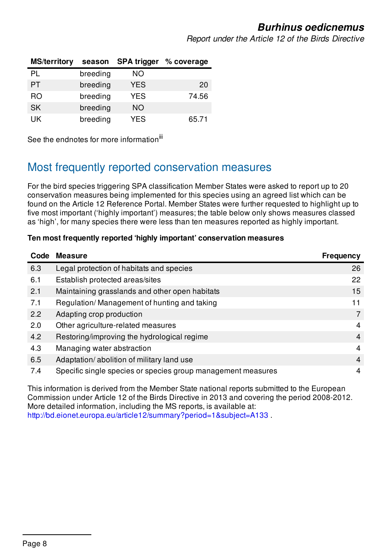*Report under the Article 12 of the Birds Directive*

| <b>MS/territory</b> | season   | <b>SPA trigger</b> | % coverage |
|---------------------|----------|--------------------|------------|
| PL                  | breeding | ΝO                 |            |
| PT                  | breeding | <b>YES</b>         | 20         |
| <b>RO</b>           | breeding | <b>YES</b>         | 74.56      |
| <b>SK</b>           | breeding | <b>NO</b>          |            |
| UK                  | breeding | <b>YES</b>         | 65.71      |

See the endnotes for more information<sup>iii</sup>

## Most frequently reported conservation measures

For the bird species triggering SPA classification Member States were asked to report up to 20 conservation measures being implemented for this species using an agreed list which can be found on the Article 12 Reference Portal. Member States were further requested to highlight up to five most important ('highly important') measures; the table below only shows measures classed as 'high', for many species there were less than ten measures reported as highly important.

#### **Ten most frequently reported 'highly important' conservation measures**

| Code | <b>Measure</b>                                               | <b>Frequency</b> |
|------|--------------------------------------------------------------|------------------|
| 6.3  | Legal protection of habitats and species                     | 26               |
| 6.1  | Establish protected areas/sites                              | 22               |
| 2.1  | Maintaining grasslands and other open habitats               | 15               |
| 7.1  | Regulation/Management of hunting and taking                  | 11               |
| 2.2  | Adapting crop production                                     | 7                |
| 2.0  | Other agriculture-related measures                           | 4                |
| 4.2  | Restoring/improving the hydrological regime                  | 4                |
| 4.3  | Managing water abstraction                                   | 4                |
| 6.5  | Adaptation/abolition of military land use                    | $\overline{4}$   |
| 7.4  | Specific single species or species group management measures | 4                |

This information is derived from the Member State national reports submitted to the European Commission under Article 12 of the Birds Directive in 2013 and covering the period 2008-2012. More detailed information, including the MS reports, is available at: <http://bd.eionet.europa.eu/article12/summary?period=1&subject=A133>.